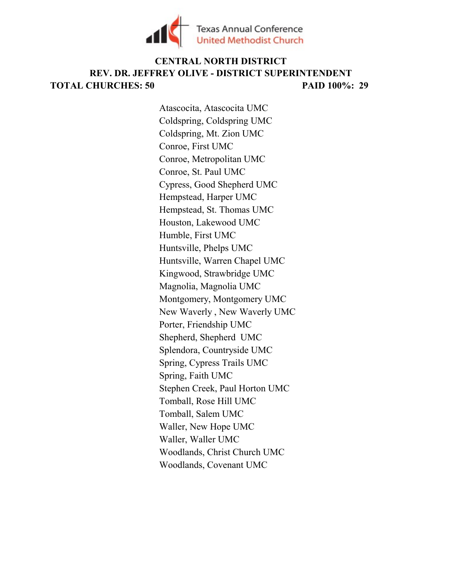

## TOTAL CHURCHES: 50 PAID 100%: 29 CENTRAL NORTH DISTRICT REV. DR. JEFFREY OLIVE - DISTRICT SUPERINTENDENT

Atascocita, Atascocita UMC Coldspring, Coldspring UMC Coldspring, Mt. Zion UMC Conroe, First UMC Conroe, Metropolitan UMC Conroe, St. Paul UMC Cypress, Good Shepherd UMC Hempstead, Harper UMC Hempstead, St. Thomas UMC Houston, Lakewood UMC Humble, First UMC Huntsville, Phelps UMC Huntsville, Warren Chapel UMC Kingwood, Strawbridge UMC Magnolia, Magnolia UMC Montgomery, Montgomery UMC New Waverly , New Waverly UMC Porter, Friendship UMC Shepherd, Shepherd UMC Splendora, Countryside UMC Spring, Cypress Trails UMC Spring, Faith UMC Stephen Creek, Paul Horton UMC Tomball, Rose Hill UMC Tomball, Salem UMC Waller, New Hope UMC Waller, Waller UMC Woodlands, Christ Church UMC Woodlands, Covenant UMC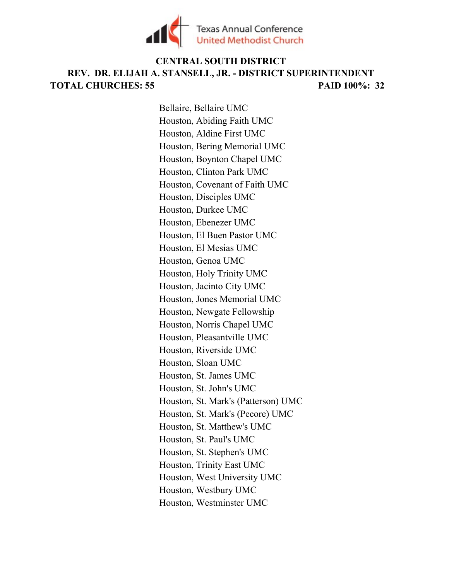

# TOTAL CHURCHES: 55 PAID 100%: 32 CENTRAL SOUTH DISTRICT REV. DR. ELIJAH A. STANSELL, JR. - DISTRICT SUPERINTENDENT

Bellaire, Bellaire UMC Houston, Abiding Faith UMC Houston, Aldine First UMC Houston, Bering Memorial UMC Houston, Boynton Chapel UMC Houston, Clinton Park UMC Houston, Covenant of Faith UMC Houston, Disciples UMC Houston, Durkee UMC Houston, Ebenezer UMC Houston, El Buen Pastor UMC Houston, El Mesias UMC Houston, Genoa UMC Houston, Holy Trinity UMC Houston, Jacinto City UMC Houston, Jones Memorial UMC Houston, Newgate Fellowship Houston, Norris Chapel UMC Houston, Pleasantville UMC Houston, Riverside UMC Houston, Sloan UMC Houston, St. James UMC Houston, St. John's UMC Houston, St. Mark's (Patterson) UMC Houston, St. Mark's (Pecore) UMC Houston, St. Matthew's UMC Houston, St. Paul's UMC Houston, St. Stephen's UMC Houston, Trinity East UMC Houston, West University UMC Houston, Westbury UMC Houston, Westminster UMC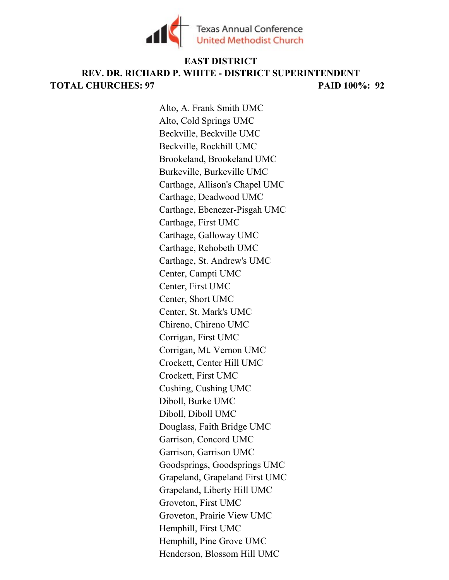

## TOTAL CHURCHES: 97 PAID 100%: 92 EAST DISTRICT REV. DR. RICHARD P. WHITE - DISTRICT SUPERINTENDENT

Alto, A. Frank Smith UMC Alto, Cold Springs UMC Beckville, Beckville UMC Beckville, Rockhill UMC Brookeland, Brookeland UMC Burkeville, Burkeville UMC Carthage, Allison's Chapel UMC Carthage, Deadwood UMC Carthage, Ebenezer-Pisgah UMC Carthage, First UMC Carthage, Galloway UMC Carthage, Rehobeth UMC Carthage, St. Andrew's UMC Center, Campti UMC Center, First UMC Center, Short UMC Center, St. Mark's UMC Chireno, Chireno UMC Corrigan, First UMC Corrigan, Mt. Vernon UMC Crockett, Center Hill UMC Crockett, First UMC Cushing, Cushing UMC Diboll, Burke UMC Diboll, Diboll UMC Douglass, Faith Bridge UMC Garrison, Concord UMC Garrison, Garrison UMC Goodsprings, Goodsprings UMC Grapeland, Grapeland First UMC Grapeland, Liberty Hill UMC Groveton, First UMC Groveton, Prairie View UMC Hemphill, First UMC Hemphill, Pine Grove UMC Henderson, Blossom Hill UMC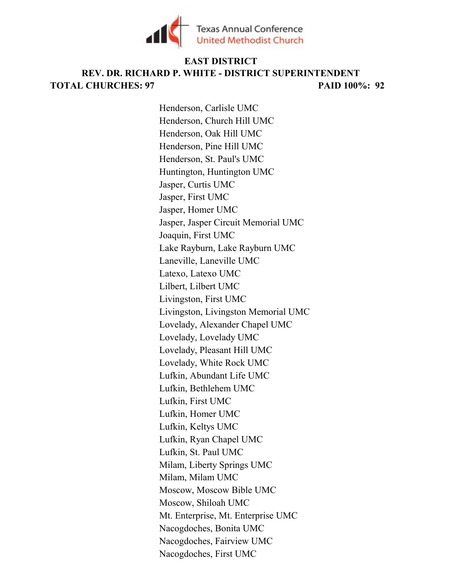

# TOTAL CHURCHES: 97 PAID 100%: 92 EAST DISTRICT REV. DR. RICHARD P. WHITE - DISTRICT SUPERINTENDENT

Henderson, Carlisle UMC Henderson, Church Hill UMC Henderson, Oak Hill UMC Henderson, Pine Hill UMC Henderson, St. Paul's UMC Huntington, Huntington UMC Jasper, Curtis UMC Jasper, First UMC Jasper, Homer UMC Jasper, Jasper Circuit Memorial UMC Joaquin, First UMC Lake Rayburn, Lake Rayburn UMC Laneville, Laneville UMC Latexo, Latexo UMC Lilbert, Lilbert UMC Livingston, First UMC Livingston, Livingston Memorial UMC Lovelady, Alexander Chapel UMC Lovelady, Lovelady UMC Lovelady, Pleasant Hill UMC Lovelady, White Rock UMC Lufkin, Abundant Life UMC Lufkin, Bethlehem UMC Lufkin, First UMC Lufkin, Homer UMC Lufkin, Keltys UMC Lufkin, Ryan Chapel UMC Lufkin, St. Paul UMC Milam, Liberty Springs UMC Milam, Milam UMC Moscow, Moscow Bible UMC Moscow, Shiloah UMC Mt. Enterprise, Mt. Enterprise UMC Nacogdoches, Bonita UMC Nacogdoches, Fairview UMC Nacogdoches, First UMC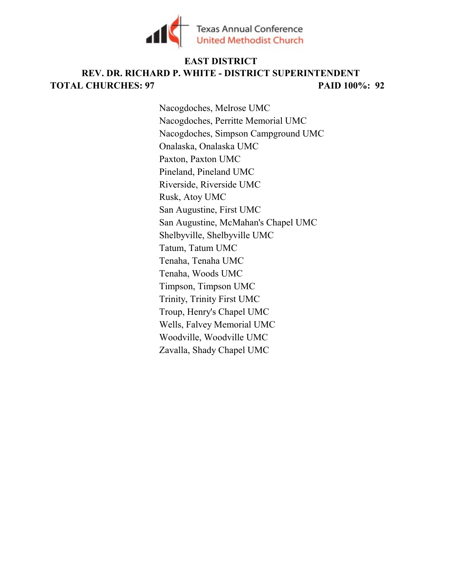

# TOTAL CHURCHES: 97 PAID 100%: 92 EAST DISTRICT REV. DR. RICHARD P. WHITE - DISTRICT SUPERINTENDENT

Nacogdoches, Melrose UMC Nacogdoches, Perritte Memorial UMC Nacogdoches, Simpson Campground UMC Onalaska, Onalaska UMC Paxton, Paxton UMC Pineland, Pineland UMC Riverside, Riverside UMC Rusk, Atoy UMC San Augustine, First UMC San Augustine, McMahan's Chapel UMC Shelbyville, Shelbyville UMC Tatum, Tatum UMC Tenaha, Tenaha UMC Tenaha, Woods UMC Timpson, Timpson UMC Trinity, Trinity First UMC Troup, Henry's Chapel UMC Wells, Falvey Memorial UMC Woodville, Woodville UMC Zavalla, Shady Chapel UMC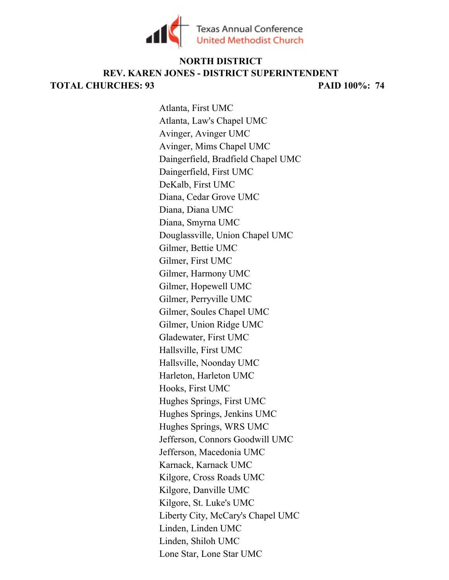

#### TOTAL CHURCHES: 93 PAID 100%: 74 REV. KAREN JONES - DISTRICT SUPERINTENDENT NORTH DISTRICT

Atlanta, First UMC Atlanta, Law's Chapel UMC Avinger, Avinger UMC Avinger, Mims Chapel UMC Daingerfield, Bradfield Chapel UMC Daingerfield, First UMC DeKalb, First UMC Diana, Cedar Grove UMC Diana, Diana UMC Diana, Smyrna UMC Douglassville, Union Chapel UMC Gilmer, Bettie UMC Gilmer, First UMC Gilmer, Harmony UMC Gilmer, Hopewell UMC Gilmer, Perryville UMC Gilmer, Soules Chapel UMC Gilmer, Union Ridge UMC Gladewater, First UMC Hallsville, First UMC Hallsville, Noonday UMC Harleton, Harleton UMC Hooks, First UMC Hughes Springs, First UMC Hughes Springs, Jenkins UMC Hughes Springs, WRS UMC Jefferson, Connors Goodwill UMC Jefferson, Macedonia UMC Karnack, Karnack UMC Kilgore, Cross Roads UMC Kilgore, Danville UMC Kilgore, St. Luke's UMC Liberty City, McCary's Chapel UMC Linden, Linden UMC Linden, Shiloh UMC Lone Star, Lone Star UMC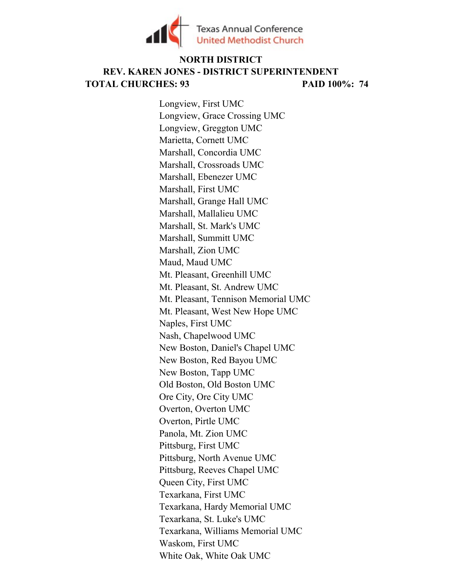

## TOTAL CHURCHES: 93 PAID 100%: 74 NORTH DISTRICT REV. KAREN JONES - DISTRICT SUPERINTENDENT

Longview, First UMC Longview, Grace Crossing UMC Longview, Greggton UMC Marietta, Cornett UMC Marshall, Concordia UMC Marshall, Crossroads UMC Marshall, Ebenezer UMC Marshall, First UMC Marshall, Grange Hall UMC Marshall, Mallalieu UMC Marshall, St. Mark's UMC Marshall, Summitt UMC Marshall, Zion UMC Maud, Maud UMC Mt. Pleasant, Greenhill UMC Mt. Pleasant, St. Andrew UMC Mt. Pleasant, Tennison Memorial UMC Mt. Pleasant, West New Hope UMC Naples, First UMC Nash, Chapelwood UMC New Boston, Daniel's Chapel UMC New Boston, Red Bayou UMC New Boston, Tapp UMC Old Boston, Old Boston UMC Ore City, Ore City UMC Overton, Overton UMC Overton, Pirtle UMC Panola, Mt. Zion UMC Pittsburg, First UMC Pittsburg, North Avenue UMC Pittsburg, Reeves Chapel UMC Queen City, First UMC Texarkana, First UMC Texarkana, Hardy Memorial UMC Texarkana, St. Luke's UMC Texarkana, Williams Memorial UMC Waskom, First UMC White Oak, White Oak UMC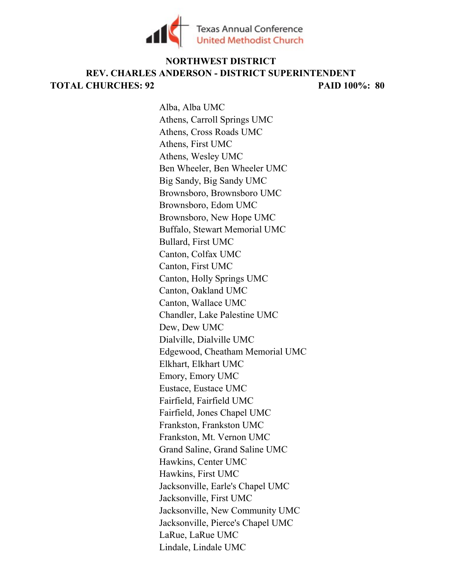

# TOTAL CHURCHES: 92 PAID 100%: 80 NORTHWEST DISTRICT REV. CHARLES ANDERSON - DISTRICT SUPERINTENDENT

Alba, Alba UMC Athens, Carroll Springs UMC Athens, Cross Roads UMC Athens, First UMC Athens, Wesley UMC Ben Wheeler, Ben Wheeler UMC Big Sandy, Big Sandy UMC Brownsboro, Brownsboro UMC Brownsboro, Edom UMC Brownsboro, New Hope UMC Buffalo, Stewart Memorial UMC Bullard, First UMC Canton, Colfax UMC Canton, First UMC Canton, Holly Springs UMC Canton, Oakland UMC Canton, Wallace UMC Chandler, Lake Palestine UMC Dew, Dew UMC Dialville, Dialville UMC Edgewood, Cheatham Memorial UMC Elkhart, Elkhart UMC Emory, Emory UMC Eustace, Eustace UMC Fairfield, Fairfield UMC Fairfield, Jones Chapel UMC Frankston, Frankston UMC Frankston, Mt. Vernon UMC Grand Saline, Grand Saline UMC Hawkins, Center UMC Hawkins, First UMC Jacksonville, Earle's Chapel UMC Jacksonville, First UMC Jacksonville, New Community UMC Jacksonville, Pierce's Chapel UMC LaRue, LaRue UMC Lindale, Lindale UMC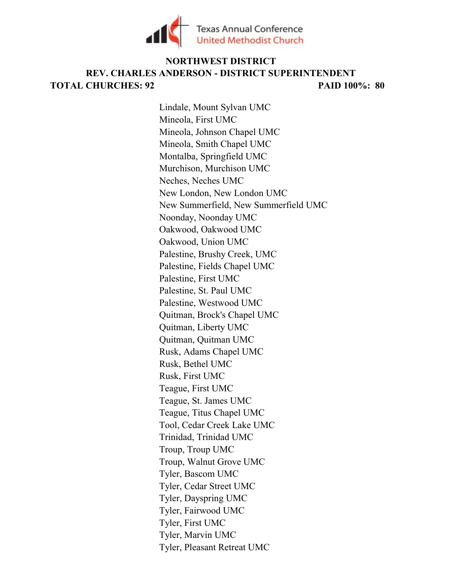

# TOTAL CHURCHES: 92 PAID 100%: 80 NORTHWEST DISTRICT REV. CHARLES ANDERSON - DISTRICT SUPERINTENDENT

Lindale, Mount Sylvan UMC Mineola, First UMC Mineola, Johnson Chapel UMC Mineola, Smith Chapel UMC Montalba, Springfield UMC Murchison, Murchison UMC Neches, Neches UMC New London, New London UMC New Summerfield, New Summerfield UMC Noonday, Noonday UMC Oakwood, Oakwood UMC Oakwood, Union UMC Palestine, Brushy Creek, UMC Palestine, Fields Chapel UMC Palestine, First UMC Palestine, St. Paul UMC Palestine, Westwood UMC Quitman, Brock's Chapel UMC Quitman, Liberty UMC Quitman, Quitman UMC Rusk, Adams Chapel UMC Rusk, Bethel UMC Rusk, First UMC Teague, First UMC Teague, St. James UMC Teague, Titus Chapel UMC Tool, Cedar Creek Lake UMC Trinidad, Trinidad UMC Troup, Troup UMC Troup, Walnut Grove UMC Tyler, Bascom UMC Tyler, Cedar Street UMC Tyler, Dayspring UMC Tyler, Fairwood UMC Tyler, First UMC Tyler, Marvin UMC Tyler, Pleasant Retreat UMC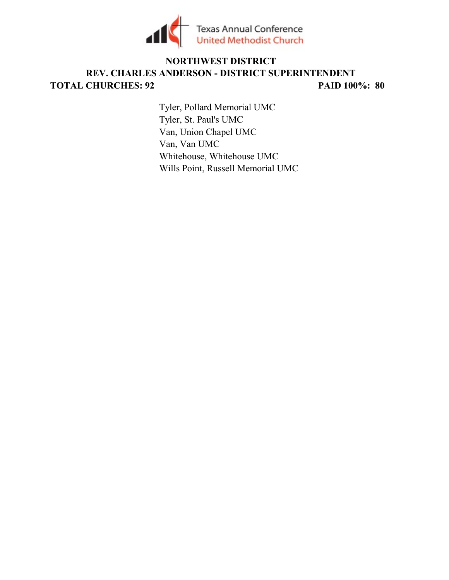

# TOTAL CHURCHES: 92 PAID 100%: 80 NORTHWEST DISTRICT REV. CHARLES ANDERSON - DISTRICT SUPERINTENDENT

Tyler, Pollard Memorial UMC Tyler, St. Paul's UMC Van, Union Chapel UMC Van, Van UMC Whitehouse, Whitehouse UMC Wills Point, Russell Memorial UMC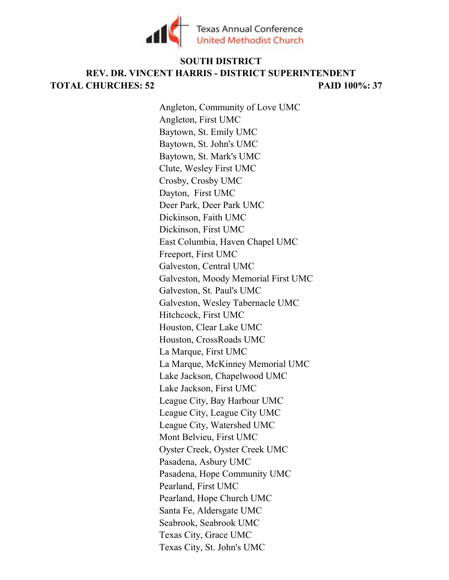

## TOTAL CHURCHES: 52 PAID 100%: 37 SOUTH DISTRICT REV. DR. VINCENT HARRIS - DISTRICT SUPERINTENDENT

Angleton, Community of Love UMC Angleton, First UMC Baytown, St. Emily UMC Baytown, St. John's UMC Baytown, St. Mark's UMC Clute, Wesley First UMC Crosby, Crosby UMC Dayton, First UMC Deer Park, Deer Park UMC Dickinson, Faith UMC Dickinson, First UMC East Columbia, Haven Chapel UMC Freeport, First UMC Galveston, Central UMC Galveston, Moody Memorial First UMC Galveston, St. Paul's UMC Galveston, Wesley Tabernacle UMC Hitchcock, First UMC Houston, Clear Lake UMC Houston, CrossRoads UMC La Marque, First UMC La Marque, McKinney Memorial UMC Lake Jackson, Chapelwood UMC Lake Jackson, First UMC League City, Bay Harbour UMC League City, League City UMC League City, Watershed UMC Mont Belvieu, First UMC Oyster Creek, Oyster Creek UMC Pasadena, Asbury UMC Pasadena, Hope Community UMC Pearland, First UMC Pearland, Hope Church UMC Santa Fe, Aldersgate UMC Seabrook, Seabrook UMC Texas City, Grace UMC Texas City, St. John's UMC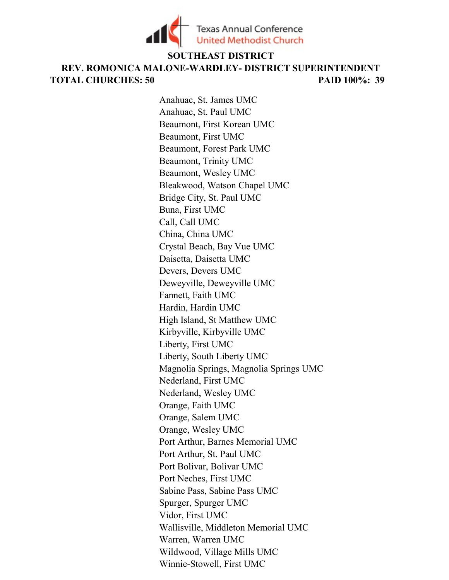

#### SOUTHEAST DISTRICT

TOTAL CHURCHES: 50 PAID 100%: 39 REV. ROMONICA MALONE-WARDLEY- DISTRICT SUPERINTENDENT

> Anahuac, St. James UMC Anahuac, St. Paul UMC Beaumont, First Korean UMC Beaumont, First UMC Beaumont, Forest Park UMC Beaumont, Trinity UMC Beaumont, Wesley UMC Bleakwood, Watson Chapel UMC Bridge City, St. Paul UMC Buna, First UMC Call, Call UMC China, China UMC Crystal Beach, Bay Vue UMC Daisetta, Daisetta UMC Devers, Devers UMC Deweyville, Deweyville UMC Fannett, Faith UMC Hardin, Hardin UMC High Island, St Matthew UMC Kirbyville, Kirbyville UMC Liberty, First UMC Liberty, South Liberty UMC Magnolia Springs, Magnolia Springs UMC Nederland, First UMC Nederland, Wesley UMC Orange, Faith UMC Orange, Salem UMC Orange, Wesley UMC Port Arthur, Barnes Memorial UMC Port Arthur, St. Paul UMC Port Bolivar, Bolivar UMC Port Neches, First UMC Sabine Pass, Sabine Pass UMC Spurger, Spurger UMC Vidor, First UMC Wallisville, Middleton Memorial UMC Warren, Warren UMC Wildwood, Village Mills UMC Winnie-Stowell, First UMC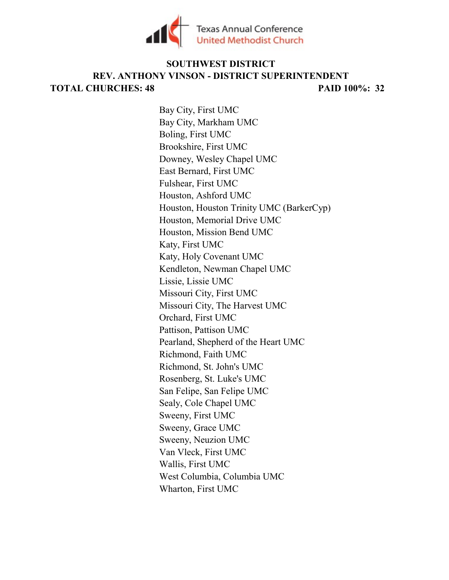

### TOTAL CHURCHES: 48 PAID 100%: 32 SOUTHWEST DISTRICT REV. ANTHONY VINSON - DISTRICT SUPERINTENDENT

Bay City, First UMC Bay City, Markham UMC Boling, First UMC Brookshire, First UMC Downey, Wesley Chapel UMC East Bernard, First UMC Fulshear, First UMC Houston, Ashford UMC Houston, Houston Trinity UMC (BarkerCyp) Houston, Memorial Drive UMC Houston, Mission Bend UMC Katy, First UMC Katy, Holy Covenant UMC Kendleton, Newman Chapel UMC Lissie, Lissie UMC Missouri City, First UMC Missouri City, The Harvest UMC Orchard, First UMC Pattison, Pattison UMC Pearland, Shepherd of the Heart UMC Richmond, Faith UMC Richmond, St. John's UMC Rosenberg, St. Luke's UMC San Felipe, San Felipe UMC Sealy, Cole Chapel UMC Sweeny, First UMC Sweeny, Grace UMC Sweeny, Neuzion UMC Van Vleck, First UMC Wallis, First UMC West Columbia, Columbia UMC Wharton, First UMC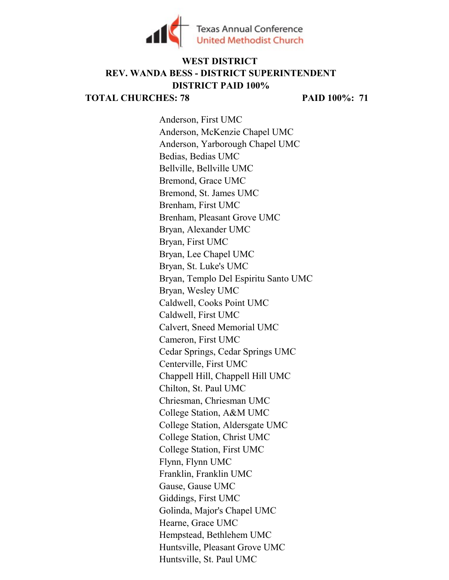

# WEST DISTRICT REV. WANDA BESS - DISTRICT SUPERINTENDENT DISTRICT PAID 100%

TOTAL CHURCHES: 78 PAID 100%: 71

Anderson, First UMC Anderson, McKenzie Chapel UMC Anderson, Yarborough Chapel UMC Bedias, Bedias UMC Bellville, Bellville UMC Bremond, Grace UMC Bremond, St. James UMC Brenham, First UMC Brenham, Pleasant Grove UMC Bryan, Alexander UMC Bryan, First UMC Bryan, Lee Chapel UMC Bryan, St. Luke's UMC Bryan, Templo Del Espiritu Santo UMC Bryan, Wesley UMC Caldwell, Cooks Point UMC Caldwell, First UMC Calvert, Sneed Memorial UMC Cameron, First UMC Cedar Springs, Cedar Springs UMC Centerville, First UMC Chappell Hill, Chappell Hill UMC Chilton, St. Paul UMC Chriesman, Chriesman UMC College Station, A&M UMC College Station, Aldersgate UMC College Station, Christ UMC College Station, First UMC Flynn, Flynn UMC Franklin, Franklin UMC Gause, Gause UMC Giddings, First UMC Golinda, Major's Chapel UMC Hearne, Grace UMC Hempstead, Bethlehem UMC Huntsville, Pleasant Grove UMC Huntsville, St. Paul UMC